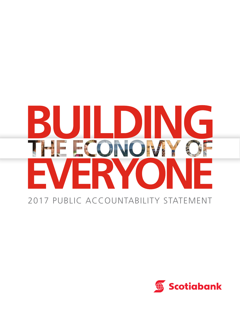# $\mathbb{R}^2$ D ECONO **TWE** E. RV

## 2017 PUBLIC ACCOUNTABILITY STATEMENT

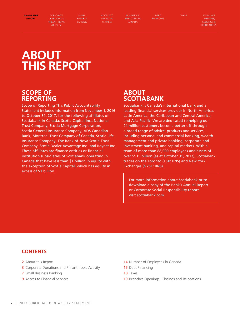<span id="page-1-0"></span>ABOUT THIS **ABOUT THIS**  REPORT **REPORT**

**[CORPORATE](#page-2-0)**  CORPORATE **[DONATIONS &](#page-2-0)**  DONATIONS & **[PHILANTHROPIC](#page-2-0)**  PHILANTHROPIC

SMALL BUSINESS BANKING ACCESS TO FINANCIAL SERVICES

NUMBER OF EMPLOYEES IN CANADA

DEBT FINANCING

TAXES BRANCHES OPENINGS, CLOSINGS & **RELOCATIONS** ACTIVITY[SMALL BUSINESS BANKING](#page-6-0)[ACCESS TO FINANCIAL SERVICES](#page-8-0)[NUMBER OF EMPLOYEES IN CANADA](#page-13-0)[DEBT FINANCING](#page-14-0)[TAXES](#page-17-0)[BRANCHES OPENINGS, CLOSINGS & RELOCATIONS](#page-18-0)

## **ABOUT THIS REPORT**

**[ACTIVITY](#page-2-0)**

## **SCOPE OF REPORTING**

Scope of Reporting This Public Accountability Statement includes information from November 1, 2016 to October 31, 2017, for the following affiliates of Scotiabank in Canada: Scotia Capital Inc., National Trust Company, Scotia Mortgage Corporation, Scotia General Insurance Company, ADS Canadian Bank, Montreal Trust Company of Canada, Scotia Life Insurance Company, The Bank of Nova Scotia Trust Company, Scotia Dealer Advantage Inc., and Roynat Inc. These affiliates are finance entities or financial institution subsidiaries of Scotiabank operating in Canada that have less than \$1 billion in equity with the exception of Scotia Capital, which has equity in excess of \$1 billion.

## **ABOUT SCOTIABANK**

Scotiabank is Canada's international bank and a leading financial services provider in North America, Latin America, the Caribbean and Central America, and Asia-Pacific. We are dedicated to helping our 24 million customers become better off through a broad range of advice, products and services, including personal and commercial banking, wealth management and private banking, corporate and investment banking, and capital markets. With a team of more than 88,000 employees and assets of over \$915 billion (as at October 31, 2017), Scotiabank trades on the Toronto (TSX: BNS) and New York Exchanges (NYSE: BNS).

For more information about Scotiabank or to download a copy of the Bank's Annual Report or Corporate Social Responsibility report, visit **[scotiabank.com](https://scotiabank.com)**

### **CONTENTS**

- 2 About this Report
- **3** [Corporate Donations and Philanthropic Activity](#page-2-0)
- 7 [Small Business Banking](#page-6-0)
- **9** [Access to Financial Services](#page-8-0)
- 14 [Number of Employees in Canada](#page-13-0)
- 15 [Debt Financing](#page-14-0)
- 18 [Taxes](#page-17-0)
- 19 [Branches Openings, Closings and Relocations](#page-18-0)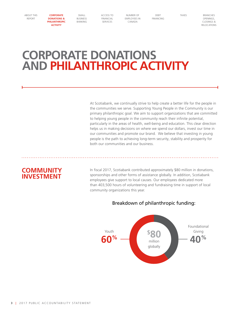<span id="page-2-0"></span>**CORPORATE DONATIONS & PHILANTHROPIC ACTIVITY**

[SMALL](#page-6-0)  [BUSINESS](#page-6-0)  [BANKING](#page-6-0) [ACCESS TO](#page-8-0)  [FINANCIAL](#page-8-0)  [SERVICES](#page-8-0)

[NUMBER OF](#page-13-0)  [EMPLOYEES IN](#page-13-0)  [CANADA](#page-13-0)

[DEBT](#page-14-0)  [FINANCING](#page-14-0)

[TAXES](#page-17-0) RRANCHES [OPENINGS,](#page-18-0)  [CLOSINGS &](#page-18-0)  [RELOCATIONS](#page-18-0)

## **CORPORATE DONATIONS AND PHILANTHROPIC ACTIVITY**

At Scotiabank, we continually strive to help create a better life for the people in the communities we serve. Supporting Young People in the Community is our primary philanthropic goal. We aim to support organizations that are committed to helping young people in the community reach their infinite potential, particularly in the areas of health, well-being and education. This clear direction helps us in making decisions on where we spend our dollars, invest our time in our communities and promote our brand. We believe that investing in young people is the path to achieving long-term security, stability and prosperity for both our communities and our business.

## **COMMUNITY INVESTMENT**

In fiscal 2017, Scotiabank contributed approximately \$80 million in donations, sponsorships and other forms of assistance globally. In addition, Scotiabank employees give support to local causes. Our employees dedicated more than 403,500 hours of volunteering and fundraising time in support of local community organizations this year.



Breakdown of philanthropic funding: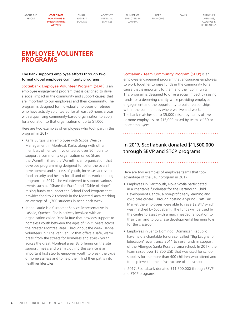**CORPORATE DONATIONS & PHILANTHROPIC** 

**ACTIVITY**

[SMALL](#page-6-0)  [BUSINESS](#page-6-0)  [BANKING](#page-6-0) [ACCESS TO](#page-8-0)  [FINANCIAL](#page-8-0)  [SERVICES](#page-8-0)

[NUMBER OF](#page-13-0)  [EMPLOYEES IN](#page-13-0)  [CANADA](#page-13-0)

[DEBT](#page-14-0)  [FINANCING](#page-14-0) [TAXES](#page-17-0) BRANCHES **OPENINGS** [CLOSINGS &](#page-18-0)  [RELOCATIONS](#page-18-0)

## **EMPLOYEE VOLUNTEER PROGRAMS**

### The Bank supports employee efforts through two formal global employee community programs:

Scotiabank Employee Volunteer Program (SEVP) is an employee engagement program that is designed to drive a social impact in the community and support causes that are important to our employees and their community. The program is designed for individual employees or retirees who have actively volunteered for at least 50 hours a year with a qualifying community-based organization to apply for a donation to that organization of up to \$1,000.

Here are two examples of employees who took part in this program in 2017:

- Karla Burgos is an employee with Scotia Wealth Management in Montreal. Karla, along with other members of her team, volunteered over 50 hours to support a community organization called Share the Warmth. Share the Warmth is an organization that develops programming designed to foster the overall development and success of youth, increases access to food security and health for all and offers work training programs. In 2017, she volunteered to support various events such as "Share the Puck" and "Table of Hope" raising funds to support the School Food Program that provides food to 20 schools in the Montreal area reaching an average of 1,700 students in need each week.
- Jenna Laurie is a Customer Service Representative in LaSalle, Quebec. She is actively involved with an organization called Dans la Rue that provides support to homeless youth between the ages of 12-25 years across the greater Montreal area. Throughout the week, Jenna volunteers in "The Van" an RV that offers a safe, warm break from the streets for homeless and at-risk youth across the great Montreal area. By offering on the site support, meals and warm clothing this service is an important first step to empower youth to break the cycle of homelessness and to help them find their paths into healthier lifestyles.

#### Scotiabank Team Community Program (STCP) is an

employee engagement program that encourages employees to work together to raise funds in the community for a cause that is important to them and their community. This program is designed to drive a social impact by raising funds for a deserving charity while providing employee engagement and the opportunity to build relationships within the communities where we live and work. The bank matches up to \$5,000 raised by teams of five or more employees, or \$15,000 raised by teams of 30 or more employees.

### In 2017, Scotiabank donated \$11,500,000 through SEVP and STCP programs.

Here are two examples of employee teams that took advantage of the STCP program in 2017:

- Employees in Dartmouth, Nova Scotia participated in a charitable fundraiser for the Dartmouth Child Development Centre, a non-profit early learning and child care centre. Through hosting a Spring Craft Fair Market the employees were able to raise \$2,847 which was matched by Scotiabank. The funds will be used by the centre to assist with a much needed renovation to their gym and to purchase developmental learning toys for the classroom.
- Employees in Santo Domingo, Dominican Republic have held a charitable fundraiser called "Big Laughs for Education" event since 2011 to raise funds in support of the Albergue Santa Rosa de Lima school. In 2017, the team raised over \$6,800 USD that was used for school supplies for the more than 400 children who attend and to help invest in the infrastructure of the school.

In 2017, Scotiabank donated \$11,500,000 through SEVP and STCP programs.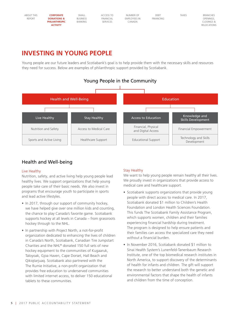| SMALL          | ACCESS TO       | NUMBER OF        | DEB <sub>1</sub>    | <b>TAXES</b>     | <b>BRANCHES</b>    |
|----------------|-----------------|------------------|---------------------|------------------|--------------------|
|                |                 |                  |                     |                  | OPENINGS.          |
| <b>BANKING</b> | <b>SERVICES</b> | <b>ANADA</b>     |                     |                  | CLOSINGS &         |
|                |                 |                  |                     |                  | <b>RELOCATIONS</b> |
|                |                 |                  |                     |                  |                    |
|                | <b>BUSINESS</b> | <b>FINANCIAL</b> | <b>EMPLOYEES IN</b> | <b>FINANCING</b> |                    |

## **INVESTING IN YOUNG PEOPLE**

Young people are our future leaders and Scotiabank's goal is to help provide them with the necessary skills and resources they need for success. Below are examples of philanthropic support provided by Scotiabank.



### Health and Well-being

### Live Healthy

Nutrition, safety, and active living help young people lead healthy lives. We support organizations that help young people take care of their basic needs. We also invest in programs that encourage youth to participate in sports and lead active lifestyles.

- In 2017, through our support of community hockey, we have helped give over one million kids and counting, the chance to play Canada's favorite game. Scotiabank supports hockey at all levels in Canada – from grassroots hockey through to the NHL.
- In partnership with Project North, a not-for-profit organization dedicated to enhancing the lives of children in Canada's North, Scotiabank, Canadian Tire Jumpstart Charities and the NHL® donated 150 full sets of new hockey equipment to the communities of Kugaaruk, Taloyoak, Gjoa Haven, Cape Dorset, Hall Beach and Qikiqtarjuaq. Scotiabank also partnered with the The Rumie Initiative, a non-profit organization that provides free education to underserved communities with limited internet access, to deliver 150 educational tablets to these communities.

### Stay Healthy

We want to help young people remain healthy all their lives. We proudly invest in organizations that provide access to medical care and healthcare support.

- Scotiabank supports organizations that provide young people with direct access to medical care. In 2017, Scotiabank donated \$1 million to Children's Health Foundation and London Health Sciences Foundation. This funds The Scotiabank Family Assistance Program, which supports women, children and their families experiencing financial hardship during treatment. The program is designed to help ensure patients and their families can access the specialized care they need without a financial burden.
- In November 2016, Scotiabank donated \$1 million to Sinai Health System's Lunenfeld-Tanenbaum Research Institute, one of the top biomedical research institutes in North America, to support discovery of the determinants of health for infants and children. The gift will support the research to better understand both the genetic and environmental factors that shape the health of infants and children from the time of conception.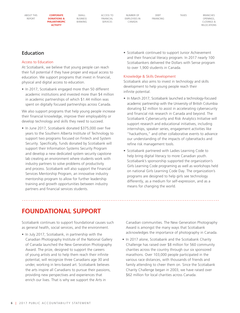**CORPORATE DONATIONS & PHILANTHROPIC ACTIVITY**

[SMALL](#page-6-0)  [BUSINESS](#page-6-0)  [BANKING](#page-6-0) [ACCESS TO](#page-8-0)  [FINANCIAL](#page-8-0)  [SERVICES](#page-8-0)

[NUMBER OF](#page-13-0)  [EMPLOYEES IN](#page-13-0)  [CANADA](#page-13-0)

[DEBT](#page-14-0)  [FINANCING](#page-14-0) [TAXES](#page-17-0) BRANCHES **OPENINGS** [CLOSINGS &](#page-18-0)  [RELOCATIONS](#page-18-0)

### Education

### Access to Education

At Scotiabank, we believe that young people can reach their full potential if they have proper and equal access to education. We support programs that invest in financial, physical and digital access to education.

• In 2017, Scotiabank engaged more than 50 different academic institutions and invested more than \$4 million in academic partnerships of which \$1.44 million was spent on digitally focused partnerships across Canada.

We also support programs that help young people increase their financial knowledge, improve their employability or develop technology and skills they need to succeed.

• In June 2017, Scotiabank donated \$375,000 over five years to the Southern Alberta Institute of Technology to support two programs focused on Fintech and System Security. Specifically, funds donated by Scotiabank will support their Information Systems Security Program and develop a new dedicated system security capstone lab creating an environment where students work with industry partners to solve problems of productivity and process. Scotiabank will also support the Financial Services Mentorship Program, an innovative industry mentorship program to allow for further leadership training and growth opportunities between industry partners and financial services students.

• Scotiabank continued to support Junior Achievement and their financial literacy program. In 2017 nearly 100 Scotiabankers delivered the Dollars with Sense program to over 1,900 students in Canada.

### Knowledge & Skills Development

Scotiabank also aims to invest in technology and skills development to help young people reach their infinite potential.

- In March 2017, Scotiabank launched a technology-focused academic partnership with the University of British Columbia donating \$2 million to assist in accelerating cybersecurity and financial risk research in Canada and beyond. The Scotiabank Cybersecurity and Risk Analytics Initiative will support research and educational initiatives, including internships, speaker series, engagement activities like "hackathons," and other collaborative events to advance our understanding of the impacts of cyberattacks and refine risk management tools.
- Scotiabank partnered with Ladies Learning Code to help bring digital literacy to more Canadian youth. Scotiabank's sponsorship supported the organization's Girls Learning Code programing as well as workshops held on national Girls Learning Code Day. The organization's programs are designed to help girls see technology differently, as a medium for self-expression, and as a means for changing the world.

## **FOUNDATIONAL SUPPORT**

Scotiabank continues to support foundational causes such as general health, social services, and the environment.

• In July 2017, Scotiabank, in partnership with the Canadian Photography Institute of the National Gallery of Canada launched the New Generation Photography Award. The prize, designed to support the careers of young artists and to help them reach their infinite potential, will recognize three Canadians age 30 and under, working in lens-based art. Scotiabank believes the arts inspire all Canadians to pursue their passions, providing new perspectives and experiences that enrich our lives. That is why we support the Arts in

Canadian communities. The New Generation Photography Award is amongst the many ways that Scotiabank acknowledges the importance of photography in Canada.

• In 2017 alone, Scotiabank and the Scotiabank Charity Challenge has raised over \$8 million for 560 community charities across the country through our six sponsored marathons. Over 103,000 people participated in the various race distances, with thousands of friends and family attending to cheer them on. Since the Scotiabank Charity Challenge began in 2003, we have raised over \$62 million for local charities across Canada.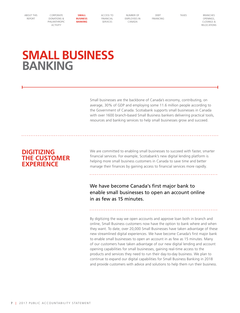<span id="page-6-0"></span>[CORPORATE](#page-2-0)  [DONATIONS &](#page-2-0)  [PHILANTHROPIC](#page-2-0)  [ACTIVITY](#page-2-0)

[ACCESS TO](#page-8-0)  [FINANCIAL](#page-8-0)  [SERVICES](#page-8-0)

**SMALL BUSINESS BANKING**

[NUMBER OF](#page-13-0)  [EMPLOYEES IN](#page-13-0)  [CANADA](#page-13-0)

[DEBT](#page-14-0)  [FINANCING](#page-14-0) [TAXES](#page-17-0) RRANCHES **OPENINGS** [CLOSINGS &](#page-18-0)  [RELOCATIONS](#page-18-0)

## **SMALL BUSINESS BANKING**

Small businesses are the backbone of Canada's economy, contributing, on average, 30% of GDP and employing some 11.6 million people according to the Government of Canada. Scotiabank supports small businesses in Canada with over 1600 branch-based Small Business bankers delivering practical tools, resources and banking services to help small businesses grow and succeed.

## **DIGITIZING THE CUSTOMER EXPERIENCE**

We are committed to enabling small businesses to succeed with faster, smarter financial services. For example, Scotiabank's new digital lending platform is helping more small business customers in Canada to save time and better manage their finances by gaining access to financial services more rapidly.

We have become Canada's first major bank to enable small businesses to open an account online in as few as 15 minutes.

By digitizing the way we open accounts and approve loan both in branch and online, Small Business customers now have the option to bank where and when they want. To date, over 20,000 Small Businesses have taken advantage of these new streamlined digital experiences. We have become Canada's first major bank to enable small businesses to open an account in as few as 15 minutes. Many of our customers have taken advantage of our new digital lending and account opening capabilities for small businesses, gaining real-time access to the products and services they need to run their day-to-day business. We plan to continue to expand our digital capabilities for Small Business Banking in 2018 and provide customers with advice and solutions to help them run their business.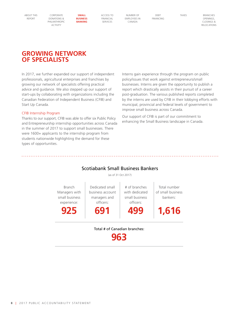[CORPORATE](#page-2-0)  [DONATIONS &](#page-2-0)  [PHILANTHROPIC](#page-2-0)  [ACTIVITY](#page-2-0)

[ACCESS TO](#page-8-0)  [FINANCIAL](#page-8-0)  [SERVICES](#page-8-0)

**SMALL BUSINESS BANKING**

[NUMBER OF](#page-13-0)  [EMPLOYEES IN](#page-13-0)  [CANADA](#page-13-0)

[DEBT](#page-14-0)  [FINANCING](#page-14-0) [TAXES](#page-17-0) RRANCHES **OPENINGS** [CLOSINGS &](#page-18-0)  [RELOCATIONS](#page-18-0)

## **GROWING NETWORK OF SPECIALISTS**

In 2017, we further expanded our support of independent professionals, agricultural enterprises and franchises by growing our network of specialists offering practical advice and guidance. We also stepped up our support of start-ups by collaborating with organizations including the Canadian Federation of Independent Business (CFIB) and Start Up Canada.

### CFIB Internship Program

Thanks to our support, CFIB was able to offer six Public Policy and Entrepreneurship internship opportunities across Canada in the summer of 2017 to support small businesses. There were 1600+ applicants to the internship program from students nationwide highlighting the demand for these types of opportunities.

Interns gain experience through the program on public policy/issues that work against entrepreneurs/small businesses. Interns are given the opportunity to publish a report which drastically assists in their pursuit of a career post-graduation. The various published reports completed by the interns are used by CFIB in their lobbying efforts with municipal, provincial and federal levels of government to improve small business across Canada.

Our support of CFIB is part of our commitment to enhancing the Small Business landscape in Canada.

### Scotiabank Small Business Bankers

(as of 31 Oct 2017)

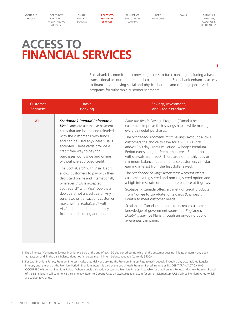[CORPORATE](#page-2-0)  [DONATIONS &](#page-2-0)  [PHILANTHROPIC](#page-2-0)  [ACTIVITY](#page-2-0)

[SMALL](#page-6-0)  [BUSINESS](#page-6-0)  [BANKING](#page-6-0) **ACCESS TO FINANCIAL SERVICES**

[NUMBER OF](#page-13-0)  [EMPLOYEES IN](#page-13-0)  [CANADA](#page-13-0)

[DEBT](#page-14-0)  [FINANCING](#page-14-0)

[TAXES](#page-17-0) BRANCHES [OPENINGS,](#page-18-0)  [CLOSINGS &](#page-18-0)  [RELOCATIONS](#page-18-0)

## <span id="page-8-0"></span>**ACCESS TO FINANCIAL SERVICES**

Scotiabank is committed to providing access to basic banking, including a basic transactional account at a minimal cost. In addition, Scotiabank enhances access to finance by removing social and physical barriers and offering specialized programs for vulnerable customer segments.

| Customer   | <b>Basic</b>                                                                                                                                                                                                                                                                                                                                                                                                                                                                                                                                                                                                                                                                             | Savings, Investment,                                                                                                                                                                                                                                                                                                                                                                                                                                                                                                                                                                                                                                                                                                                                                                                                                                                                                                                                                                                                                                  |
|------------|------------------------------------------------------------------------------------------------------------------------------------------------------------------------------------------------------------------------------------------------------------------------------------------------------------------------------------------------------------------------------------------------------------------------------------------------------------------------------------------------------------------------------------------------------------------------------------------------------------------------------------------------------------------------------------------|-------------------------------------------------------------------------------------------------------------------------------------------------------------------------------------------------------------------------------------------------------------------------------------------------------------------------------------------------------------------------------------------------------------------------------------------------------------------------------------------------------------------------------------------------------------------------------------------------------------------------------------------------------------------------------------------------------------------------------------------------------------------------------------------------------------------------------------------------------------------------------------------------------------------------------------------------------------------------------------------------------------------------------------------------------|
| Segment    | <b>Banking</b>                                                                                                                                                                                                                                                                                                                                                                                                                                                                                                                                                                                                                                                                           | and Credit Products                                                                                                                                                                                                                                                                                                                                                                                                                                                                                                                                                                                                                                                                                                                                                                                                                                                                                                                                                                                                                                   |
| <b>ALL</b> | Scotiabank Prepaid Reloadable<br>Visa* cards are alternative payment<br>cards that are loaded and reloaded<br>with the customer's own funds<br>and can be used anywhere Visa is<br>accepted. These cards provide a<br>credit free way to pay for<br>purchases worldwide and online<br>without pre-approved credit.<br>The ScotiaCard® with Visa* Debit<br>allows customers to pay with their<br>debit card online and internationally<br>wherever VISA is accepted.<br>ScotiaCard® with Visa* Debit is a<br>debit card not a credit card. Any<br>purchases or transactions customer<br>make with a ScotiaCard® with<br>Visa* debit, are debited directly<br>from their chequing account. | Bank the Rest™ Savings Program (Canada) helps<br>customers improve their savings habits while making<br>every day debit purchases.<br>The Scotiabank Momentum <sup>PLUS</sup> Savings Account allows<br>customers the choice to save for a 90, 180, 270<br>and/or 360 day Premium Period. A longer Premium<br>Period earns a higher Premium Interest Rate, if no<br>withdrawals are made <sup>2</sup> . There are no monthly fees or<br>minimum balance requirements so customers can start<br>earning interest from the first dollar saved.<br>The Scotiabank Savings Accelerator Account offers<br>customers a registered and non-registered option and<br>a high interest rate on their entire balance at it grows.<br>Scotiabank Canada offers a variety of credit products<br>from No-Fee to Low-Rate to Rewards (Cashback,<br>Points) to meet customer needs.<br>Scotiabank Canada continues to increase customer<br>knowledge of government sponsored Registered<br>Disability Savings Plans through an on-going public<br>awareness campaign. |

- 1 Extra interest (Momentum Savings Premium) is paid at the end of each 90-day period during which (i) the customer does not initiate or permit any debit transaction, and (ii) the daily balance does not fall below the minimum balance required (currently \$5000).
- 2 For each Premium Period, Premium Interest is calculated daily by applying the Premium Interest Rate to each deposit, including any accumulated Regular Interest, until the end of the Premium Period. Premium Interest is paid at the end of each Premium Period, so long as NO DEBIT TRANSACTION HAS OCCURRED within that Premium Period. When a debit transaction occurs, no Premium Interest is payable for that Premium Period and a new Premium Period of the same length will commence the same day. Refer to Current Rates on www.scotiabank.com for current MomentumPLUS Savings Premium Rates, which are subject to change.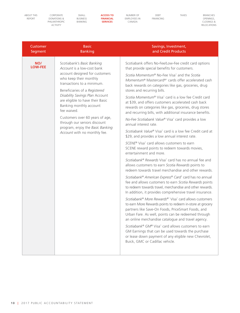[CORPORATE](#page-2-0)  [DONATIONS &](#page-2-0)  [PHILANTHROPIC](#page-2-0)  [ACTIVITY](#page-2-0)

[SMALL](#page-6-0)  [BUSINESS](#page-6-0)  [BANKING](#page-6-0) **ACCESS TO FINANCIAL SERVICES**

[NUMBER OF](#page-13-0)  [EMPLOYEES IN](#page-13-0)  [CANADA](#page-13-0)

[DEBT](#page-14-0)  [FINANCING](#page-14-0)

[TAXES](#page-17-0) BRANCHES [OPENINGS,](#page-18-0)  [CLOSINGS &](#page-18-0)  [RELOCATIONS](#page-18-0)

| Customer              | <b>Basic</b>                                                                                                                                                                                                                                                                                                                                                                                                                                | Savings, Investment,                                                                                                                                                                                                                                                                                                                                                                                                                                                                                                                                                                                                                                                                                                                                                                                                                                                                                                                                                                                                                                                                                                                                                                                                                                                                                                                                                                                                                                                                                                                                                                                                                                                                                                                                                                                                                         |
|-----------------------|---------------------------------------------------------------------------------------------------------------------------------------------------------------------------------------------------------------------------------------------------------------------------------------------------------------------------------------------------------------------------------------------------------------------------------------------|----------------------------------------------------------------------------------------------------------------------------------------------------------------------------------------------------------------------------------------------------------------------------------------------------------------------------------------------------------------------------------------------------------------------------------------------------------------------------------------------------------------------------------------------------------------------------------------------------------------------------------------------------------------------------------------------------------------------------------------------------------------------------------------------------------------------------------------------------------------------------------------------------------------------------------------------------------------------------------------------------------------------------------------------------------------------------------------------------------------------------------------------------------------------------------------------------------------------------------------------------------------------------------------------------------------------------------------------------------------------------------------------------------------------------------------------------------------------------------------------------------------------------------------------------------------------------------------------------------------------------------------------------------------------------------------------------------------------------------------------------------------------------------------------------------------------------------------------|
| Segment               | <b>Banking</b>                                                                                                                                                                                                                                                                                                                                                                                                                              | and Credit Products                                                                                                                                                                                                                                                                                                                                                                                                                                                                                                                                                                                                                                                                                                                                                                                                                                                                                                                                                                                                                                                                                                                                                                                                                                                                                                                                                                                                                                                                                                                                                                                                                                                                                                                                                                                                                          |
| NO/<br><b>LOW-FEE</b> | Scotiabank's Basic Banking<br>Account is a low-cost bank<br>account designed for customers<br>who keep their monthly<br>transactions to a minimum.<br>Beneficiaries of a Registered<br>Disability Savings Plan Account<br>are eligible to have their Basic<br>Banking monthly account<br>fee waived.<br>Customers over 60 years of age,<br>through our seniors discount<br>program, enjoy the Basic Banking<br>Account with no monthly fee. | Scotiabank offers No-Fee/Low-Fee credit card options<br>that provide special benefits for customers.<br>Scotia Momentum® No-Fee Visa* and the Scotia<br>Momentum® Mastercard®* cards offer accelerated cash<br>back rewards on categories like gas, groceries, drug<br>stores and recurring bills.<br>Scotia Momentum® Visa <sup>*</sup> card is a low fee Credit card<br>at \$39, and offers customers accelerated cash back<br>rewards on categories like gas, groceries, drug stores<br>and recurring bills, with additional insurance benefits.<br>No-Fee Scotiabank Value® Visa* card provides a low<br>annual interest rate.<br>Scotiabank Value® Visa* card is a low fee Credit card at<br>\$29, and provides a low annual interest rate.<br>SCENE® Visa <sup>*</sup> card allows customers to earn<br>SCENE reward points to redeem towards movies,<br>entertainment and more.<br>Scotiabank <sup>®</sup> Rewards Visa <sup>*</sup> card has no annual fee and<br>allows customers to earn Scotia Rewards points to<br>redeem towards travel merchandise and other rewards.<br>Scotiabank® American Express® Card* card has no annual<br>fee and allows customers to earn Scotia Rewards points<br>to redeem towards travel, merchandise and other rewards.<br>In addition, it provides comprehensive travel insurance.<br>Scotiabank® More Rewards®* Visa* card allows customers<br>to earn More Rewards points to redeem in-store at grocery<br>partners like Save-On Foods, PriceSmart Foods, and<br>Urban Fare. As well, points can be redeemed through<br>an online merchandise catalogue and travel agency.<br>Scotiabank® GM® Visa <sup>*</sup> card allows customers to earn<br>GM Earnings that can be used towards the purchase<br>or lease down payment of any eligible new Chevrolet,<br>Buick, GMC or Cadillac vehicle. |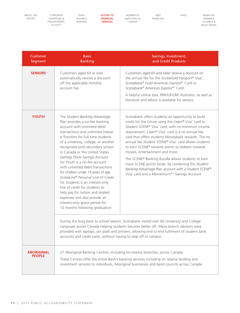[CORPORATE](#page-2-0)  [DONATIONS &](#page-2-0)  [PHILANTHROPIC](#page-2-0)  [ACTIVITY](#page-2-0)

[SMALL](#page-6-0)  [BUSINESS](#page-6-0)  [BANKING](#page-6-0) **ACCESS TO FINANCIAL SERVICES**

[NUMBER OF](#page-13-0)  [EMPLOYEES IN](#page-13-0)  [CANADA](#page-13-0)

[DEBT](#page-14-0)  [FINANCING](#page-14-0) [TAXES](#page-17-0) BRANCHES [OPENINGS,](#page-18-0)  [CLOSINGS &](#page-18-0)  [RELOCATIONS](#page-18-0)

| Customer<br>Segment                | <b>Basic</b><br><b>Banking</b>                                                                                                                                                                                                                                                                                                                                                                                                                                                                                                                                                                                                                                                                 | Savings, Investment,<br>and Credit Products                                                                                                                                                                                                                                                                                                                                                                                                                                                                                                                                                                                                                  |
|------------------------------------|------------------------------------------------------------------------------------------------------------------------------------------------------------------------------------------------------------------------------------------------------------------------------------------------------------------------------------------------------------------------------------------------------------------------------------------------------------------------------------------------------------------------------------------------------------------------------------------------------------------------------------------------------------------------------------------------|--------------------------------------------------------------------------------------------------------------------------------------------------------------------------------------------------------------------------------------------------------------------------------------------------------------------------------------------------------------------------------------------------------------------------------------------------------------------------------------------------------------------------------------------------------------------------------------------------------------------------------------------------------------|
| <b>SENIORS</b>                     | Customers aged 60 or over<br>automatically receive a discount<br>off the applicable monthly<br>account fee.                                                                                                                                                                                                                                                                                                                                                                                                                                                                                                                                                                                    | Customers aged 65 and older receive a discount on<br>the annual fee for the ScotiaGold Passport® Visa*,<br>Scotiabank® Gold American Express®* Card or<br>Scotiabank® American Express®* Card.                                                                                                                                                                                                                                                                                                                                                                                                                                                               |
|                                    |                                                                                                                                                                                                                                                                                                                                                                                                                                                                                                                                                                                                                                                                                                | A helpful online tool, RRIF/LIF/LRIF illustrator, as well as<br>literature and advice is available for seniors.                                                                                                                                                                                                                                                                                                                                                                                                                                                                                                                                              |
| <b>YOUTH</b>                       | The Student Banking Advantage<br>Plan provides a no-fee banking<br>account with unlimited debit<br>transactions and unlimited Interac<br>e-Transfers for full-time students<br>of a university, college, or another<br>recognized post-secondary school<br>in Canada or the United States.<br>Getting There Savings Account<br>for Youth is a no-fee account<br>with unlimited debit transactions<br>for children under 19 years of age.<br>ScotiaLine® Personal Line of Credit<br>for Students is an interest-only<br>line of credit for students to<br>help pay for tuition and related<br>expenses and also provide an<br>interest-only grace period for<br>12 months following graduation. | Scotiabank offers students an opportunity to build<br>credit for the future using the L'earn® Visa* card or<br>Student SCENE® Visa* card, with no minimum income<br>requirement. L'earn® Visa* card is a no annual fee<br>card that offers students Moneyback rewards. The no<br>annual fee Student SCENE® Visa* card allows students<br>to earn SCENE® rewards points to redeem towards<br>movies, entertainment and more.<br>The SCENE® Banking Bundle allows students to earn<br>more SCENE points faster, by combining the Student<br>Banking Advantage Plan account with a Student SCENE®<br>Visa* card and a Momentum <sup>Plus</sup> Savings Account. |
|                                    | accounts and credit cards, without having to step off of campus.                                                                                                                                                                                                                                                                                                                                                                                                                                                                                                                                                                                                                               | During the busy back to school season, Scotiabank visited over 60 University and College<br>campuses across Canada helping students become better off. Many branch advisors were<br>provided with laptops, pin pads and printers, allowing end to end fulfilment of student bank                                                                                                                                                                                                                                                                                                                                                                             |
| <b>ABORIGINAL</b><br><b>PEOPLE</b> |                                                                                                                                                                                                                                                                                                                                                                                                                                                                                                                                                                                                                                                                                                | 27 Aboriginal Banking Centres, including on-reserve branches, across Canada.<br>These Centres offer the entire Bank's banking services including on reserve lending and<br>investment services to individuals, Aboriginal businesses and band councils across Canada.                                                                                                                                                                                                                                                                                                                                                                                        |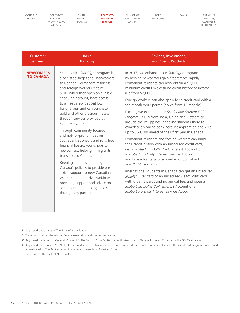[CORPORATE](#page-2-0)  [DONATIONS &](#page-2-0)  [PHILANTHROPIC](#page-2-0)  [ACTIVITY](#page-2-0)

[SMALL](#page-6-0)  [BUSINESS](#page-6-0)  [BANKING](#page-6-0) **ACCESS TO FINANCIAL SERVICES**

[NUMBER OF](#page-13-0)  [EMPLOYEES IN](#page-13-0)  [CANADA](#page-13-0)

[DEBT](#page-14-0)  [FINANCING](#page-14-0) [TAXES](#page-17-0) BRANCHES [OPENINGS,](#page-18-0)  [CLOSINGS &](#page-18-0)  [RELOCATIONS](#page-18-0)

| Customer                             | <b>Basic</b>                                                                                                                                                                                                                                                                                                                                                                                                                                                                                                                                                                                                                                                                                                                                                                                                          | Savings, Investment,                                                                                                                                                                                                                                                                                                                                                                                                                                                                                                                                                                                                                                                                                                                                                                                                                                                                                                                                                                                                                                                                                                                                                                |
|--------------------------------------|-----------------------------------------------------------------------------------------------------------------------------------------------------------------------------------------------------------------------------------------------------------------------------------------------------------------------------------------------------------------------------------------------------------------------------------------------------------------------------------------------------------------------------------------------------------------------------------------------------------------------------------------------------------------------------------------------------------------------------------------------------------------------------------------------------------------------|-------------------------------------------------------------------------------------------------------------------------------------------------------------------------------------------------------------------------------------------------------------------------------------------------------------------------------------------------------------------------------------------------------------------------------------------------------------------------------------------------------------------------------------------------------------------------------------------------------------------------------------------------------------------------------------------------------------------------------------------------------------------------------------------------------------------------------------------------------------------------------------------------------------------------------------------------------------------------------------------------------------------------------------------------------------------------------------------------------------------------------------------------------------------------------------|
| Segment                              | <b>Banking</b>                                                                                                                                                                                                                                                                                                                                                                                                                                                                                                                                                                                                                                                                                                                                                                                                        | and Credit Products                                                                                                                                                                                                                                                                                                                                                                                                                                                                                                                                                                                                                                                                                                                                                                                                                                                                                                                                                                                                                                                                                                                                                                 |
| <b>NEWCOMERS</b><br><b>TO CANADA</b> | Scotiabank's StartRight program is<br>a one stop shop for all newcomers<br>to Canada. Permanent residents,<br>and foreign workers receive<br>\$100 when they open an eligible<br>chequing account, have access<br>to a free safety deposit box<br>for one year and can purchase<br>gold and other precious metals<br>through services provided by<br>ScotiaMocatta®.<br>Through community focused<br>and not-for-profit initiatives,<br>Scotiabank sponsors and runs free<br>financial literacy workshops to<br>newcomers, helping immigrants<br>transition to Canada.<br>Keeping in line with Immigration<br>Canada's policies to provide pre-<br>arrival support to new Canadians,<br>we conduct pre-arrival webinars<br>providing support and advice on<br>settlement and banking basics,<br>through key partners. | In 2017, we enhanced our StartRight program<br>by helping newcomers gain credit more rapidly.<br>Permanent residents can now obtain a \$3,000<br>minimum credit limit with no credit history or income<br>(up from \$2,000).<br>Foreign workers can also apply for a credit card with a<br>ten-month work permit (down from 12 months).<br>Further, we expanded our Scotiabank Student GIC<br>Program (SSGP) from India, China and Vietnam to<br>include the Philippines, enabling students there to<br>complete an online bank account application and wire<br>up to \$50,000 ahead of their first year in Canada.<br>Permanent residents and foreign workers can build<br>their credit history with an unsecured credit card,<br>get a Scotia U.S. Dollar Daily Interest Account or<br>a Scotia Euro Daily Interest Savings Account,<br>and take advantage of a number of Scotiabank<br>StartRight programs.<br>International Students in Canada can get an unsecured<br>SCENE® Visa* card or an unsecured L'earn Visa* card<br>with great rewards and no annual fee, and open a<br>Scotia U.S. Dollar Daily Interest Account or a<br>Scotia Euro Daily Interest Savings Account. |

- ® Registered trademarks of The Bank of Nova Scotia.
- \* Trademark of Visa International Service Association and used under license.
- ® Registered trademark of General Motors LLC. The Bank of Nova Scotia is an authorized user of General Motors LLC marks for the GM Card program.
- ‡ Registered trademark of SCENE IP LP, used under license. American Express is a registered trademark of American Express. This credit card program is issued and administered by The Bank of Nova Scotia under license from American Express.
- TM Trademark of the Bank of Nova Scotia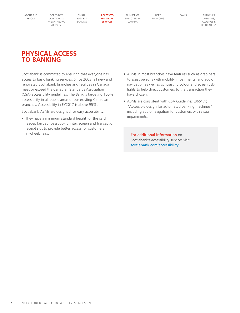[CORPORATE](#page-2-0)  [DONATIONS &](#page-2-0)  [PHILANTHROPIC](#page-2-0)  [ACTIVITY](#page-2-0)

**SMALL** [BUSINESS](#page-6-0)  [BANKING](#page-6-0) **ACCESS TO FINANCIAL SERVICES**

[NUMBER OF](#page-13-0)  [EMPLOYEES IN](#page-13-0)  [CANADA](#page-13-0)

[DEBT](#page-14-0)  [FINANCING](#page-14-0) [TAXES](#page-17-0) BRANCHES **OPENINGS** [CLOSINGS &](#page-18-0)  [RELOCATIONS](#page-18-0)

## **PHYSICAL ACCESS TO BANKING**

Scotiabank is committed to ensuring that everyone has access to basic banking services. Since 2003, all new and renovated Scotiabank branches and facilities in Canada meet or exceed the Canadian Standards Association (CSA) accessibility guidelines. The Bank is targeting 100% accessibility in all public areas of our existing Canadian branches. Accessibility in FY2017 is above 95%.

Scotiabank ABMs are designed for easy accessibility:

- They have a minimum standard height for the card reader, keypad, passbook printer, screen and transaction receipt slot to provide better access for customers in wheelchairs.
- ABMs in most branches have features such as grab bars to assist persons with mobility impairments, and audio navigation as well as contrasting colour and screen LED lights to help direct customers to the transaction they have chosen.
- ABMs are consistent with CSA Guidelines (B651.1) "Accessible design for automated banking machines", including audio navigation for customers with visual impairments.

For additional information on Scotiabank's accessibility services visit [scotiabank.com/accessibility](https://scotiabank.com/accessibility)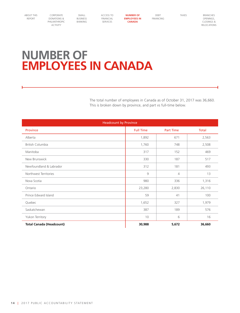<span id="page-13-0"></span>[CORPORATE](#page-2-0)  [DONATIONS &](#page-2-0)  [PHILANTHROPIC](#page-2-0)  [ACTIVITY](#page-2-0)

[SMALL](#page-6-0)  [BUSINESS](#page-6-0)  [BANKING](#page-6-0) [ACCESS TO](#page-8-0)  [FINANCIAL](#page-8-0)  [SERVICES](#page-8-0)

**NUMBER OF EMPLOYEES IN CANADA**

[DEBT](#page-14-0)  [FINANCING](#page-14-0) [TAXES](#page-17-0) BRANCHES [OPENINGS,](#page-18-0)  [CLOSINGS &](#page-18-0)  [RELOCATIONS](#page-18-0)

## **NUMBER OF EMPLOYEES IN CANADA**

The total number of employees in Canada as of October 31, 2017 was 36,660. This is broken down by province, and part vs full-time below.

| <b>Headcount by Province</b>    |                  |                  |        |  |  |  |  |
|---------------------------------|------------------|------------------|--------|--|--|--|--|
| Province                        | <b>Full Time</b> | <b>Part Time</b> | Total  |  |  |  |  |
| Alberta                         | 1,892            | 671              | 2,563  |  |  |  |  |
| British Columbia                | 1,760            | 748              | 2,508  |  |  |  |  |
| Manitoba                        | 317              | 152              | 469    |  |  |  |  |
| New Brunswick                   | 330              | 187              | 517    |  |  |  |  |
| Newfoundland & Labrador         | 312              | 181              | 493    |  |  |  |  |
| Northwest Territories           | 9                | 4                | 13     |  |  |  |  |
| Nova Scotia                     | 980              | 336              | 1,316  |  |  |  |  |
| Ontario                         | 23,280           | 2,830            | 26,110 |  |  |  |  |
| Prince Edward Island            | 59               | 41               | 100    |  |  |  |  |
| Quebec                          | 1,652            | 327              | 1,979  |  |  |  |  |
| Saskatchewan                    | 387              | 189              | 576    |  |  |  |  |
| Yukon Territory                 | 10               | 6                | 16     |  |  |  |  |
| <b>Total Canada (Headcount)</b> | 30,988           | 5,672            | 36,660 |  |  |  |  |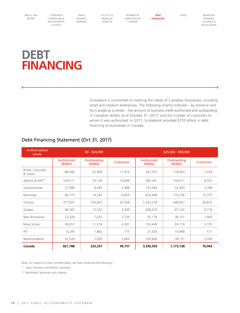<span id="page-14-0"></span>[CORPORATE](#page-2-0)  [DONATIONS &](#page-2-0)  [PHILANTHROPIC](#page-2-0)  [ACTIVITY](#page-2-0)

[SMALL](#page-6-0)  [BUSINESS](#page-6-0)  [BANKING](#page-6-0) [ACCESS TO](#page-8-0)  [FINANCIAL](#page-8-0)  [SERVICES](#page-8-0)

[NUMBER OF](#page-13-0)  [EMPLOYEES IN](#page-13-0)  [CANADA](#page-13-0)

**DEBT FINANCING** [TAXES](#page-17-0) BRANCHES [OPENINGS,](#page-18-0)  [CLOSINGS &](#page-18-0)  [RELOCATIONS](#page-18-0)

## **DEBT FINANCING**

Scotiabank is committed to meeting the needs of Canadian businesses, including small and medium enterprises. The following chart(s) indicate – by province and for Canada as a whole – the amount of business credit authorized and outstanding in Canadian dollars as of October 31, 2017, and the number of customers to whom it was authorized. In 2017, Scotiabank provided \$155 billion in debt financing to businesses in Canada.

| Authorization<br>Levels             | $$0 - $24,999$        |                        |                  | \$25,000 - \$99,999   |                        |                  |
|-------------------------------------|-----------------------|------------------------|------------------|-----------------------|------------------------|------------------|
|                                     | Authorized<br>(5000s) | Outstanding<br>(5000s) | <b>Customers</b> | Authorized<br>(5000s) | Outstanding<br>(5000s) | <b>Customers</b> |
| <b>British Columbia</b><br>& Yukon* | 88,006                | 22,909                 | 11,410           | 341,297               | 118,003                | 7,438            |
| Alberta & NWT**                     | 109,571               | 33,156                 | 14,699           | 383,341               | 144,411                | 8,552            |
| Saskatchewan                        | 27,096                | 8,585                  | 2,998            | 133,384               | 52,493                 | 2,788            |
| Manitoba                            | 80,773                | 14,242                 | 6,854            | 674,489               | 170,736                | 12,737           |
| Ontario                             | 377,831               | 103,601                | 47,458           | 1,232,278             | 449,957                | 26,812           |
| Quebec                              | 48,305                | 15,332                 | 5,939            | 206,610               | 87,142                 | 4,718            |
| New Brunswick                       | 23,326                | 7,025                  | 2,720            | 92,178                | 36,151                 | 1,902            |
| Nova Scotia                         | 38,057                | 11,519                 | 4,301            | 153,449               | 65,116                 | 3,155            |
| PEI                                 | 6,295                 | 1,862                  | 715              | 27,635                | 10,968                 | 571              |
| Newfoundland                        | 22,528                | 7,026                  | 2,663            | 105,844               | 38,151                 | 2,269            |
| Canada                              | 821,788               | 225,257                | 99,757           | 3,350,505             | 1,173,128              | 70,942           |

### Debt Financing Statement (Oct 31, 2017)

Note: For reasons of client confidentiality, we have combined the following:

\* Yukon Territory with British Columbia

\*\* NorthWest Territories with Alberta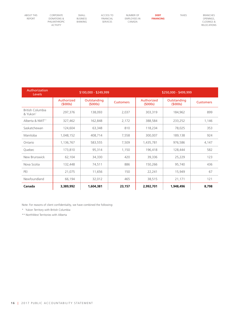[CORPORATE](#page-2-0)  [DONATIONS &](#page-2-0)  [PHILANTHROPIC](#page-2-0)  [ACTIVITY](#page-2-0)

[SMALL](#page-6-0)  [BUSINESS](#page-6-0)  [BANKING](#page-6-0) [ACCESS TO](#page-8-0)  [FINANCIAL](#page-8-0)  [SERVICES](#page-8-0)

[NUMBER OF](#page-13-0)  [EMPLOYEES IN](#page-13-0)  [CANADA](#page-13-0)

**DEBT FINANCING** [TAXES](#page-17-0) [BRANCHES](#page-18-0)  [OPENINGS,](#page-18-0)  [CLOSINGS &](#page-18-0)  [RELOCATIONS](#page-18-0)

| Authorization<br><b>Levels</b> | \$100,000 - \$249,999 |                        |                  | \$250,000 - \$499,999 |                        |                  |
|--------------------------------|-----------------------|------------------------|------------------|-----------------------|------------------------|------------------|
|                                | Authorized<br>(5000s) | Outstanding<br>(5000s) | <b>Customers</b> | Authorized<br>(5000s) | Outstanding<br>(5000s) | <b>Customers</b> |
| British Columbia<br>& Yukon*   | 297,376               | 138,093                | 2,037            | 303,319               | 184,962                | 899              |
| Alberta & NWT**                | 327,462               | 162,848                | 2,172            | 388,584               | 233,252                | 1,146            |
| Saskatchewan                   | 124,604               | 63,348                 | 810              | 118,234               | 78,025                 | 353              |
| Manitoba                       | 1,048,152             | 408,714                | 7,558            | 300,007               | 189,138                | 924              |
| Ontario                        | 1,136,767             | 583,555                | 7,509            | 1,435,781             | 976,586                | 4,147            |
| Quebec                         | 173,810               | 95,314                 | 1,150            | 196,418               | 128,444                | 582              |
| New Brunswick                  | 62,104                | 34,330                 | 420              | 39,336                | 25,229                 | 123              |
| Nova Scotia                    | 132,448               | 74,511                 | 886              | 150,266               | 95,740                 | 436              |
| PEI                            | 21,075                | 11,656                 | 150              | 22,241                | 15,949                 | 67               |
| Newfoundland                   | 66,194                | 32,012                 | 465              | 38,515                | 21,171                 | 121              |
| Canada                         | 3,389,992             | 1,604,381              | 23,157           | 2,992,701             | 1.948.496              | 8,798            |

Note: For reasons of client confidentiality, we have combined the following:

\* Yukon Territory with British Columbia

\*\* NorthWest Territories with Alberta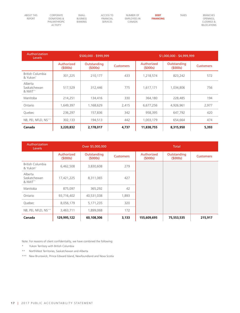[CORPORATE](#page-2-0)  [DONATIONS &](#page-2-0)  [PHILANTHROPIC](#page-2-0)  [ACTIVITY](#page-2-0)

[ACCESS TO](#page-8-0)  [FINANCIAL](#page-8-0)  [SERVICES](#page-8-0)

[SMALL](#page-6-0)  [BUSINESS](#page-6-0)  [BANKING](#page-6-0)

[NUMBER OF](#page-13-0)  [EMPLOYEES IN](#page-13-0)  [CANADA](#page-13-0)

**DEBT FINANCING** [TAXES](#page-17-0) [BRANCHES](#page-18-0)  [OPENINGS,](#page-18-0)  [CLOSINGS &](#page-18-0)  [RELOCATIONS](#page-18-0)

| Authorization<br><b>Levels</b>                 | \$500,000 - \$999,999 |                        |                  | \$1,000,000 - \$4,999,999 |                        |                  |
|------------------------------------------------|-----------------------|------------------------|------------------|---------------------------|------------------------|------------------|
|                                                | Authorized<br>(5000s) | Outstanding<br>(5000s) | <b>Customers</b> | Authorized<br>(5000s)     | Outstanding<br>(5000s) | <b>Customers</b> |
| <b>British Columbia</b><br>& Yukon*            | 301,225               | 210,177                | 433              | 1,218,574                 | 823,242                | 572              |
| Alberta<br>Saskatchewan<br>& NWT <sup>**</sup> | 517,529               | 312,446                | 775              | 1,617,171                 | 1,034,806              | 756              |
| Manitoba                                       | 214,251               | 134,416                | 330              | 364,180                   | 228,485                | 194              |
| Ontario                                        | 1,649,397             | 1,168,629              | 2,415            | 6,677,256                 | 4,926,961              | 2,977            |
| Quebec                                         | 236,297               | 157,836                | 342              | 958,395                   | 647,792                | 420              |
| NB, PEI, NFLD, NS***                           | 302,133               | 194,513                | 442              | 1,003,179                 | 654,664                | 474              |
| Canada                                         | 3,220,832             | 2,178,017              | 4,737            | 11,838,755                | 8,315,950              | 5,393            |

| Authorization<br><b>Levels</b>                 | Over \$5,000,000      |                        |                  |                       | <b>Total</b>           |                  |
|------------------------------------------------|-----------------------|------------------------|------------------|-----------------------|------------------------|------------------|
|                                                | Authorized<br>(5000s) | Outstanding<br>(5000s) | <b>Customers</b> | Authorized<br>(5000s) | Outstanding<br>(5000s) | <b>Customers</b> |
| British Columbia<br>& Yukon*                   | 6,462,508             | 3,830,608              | 279              |                       |                        |                  |
| Alberta<br>Saskatchewan<br>& NWT <sup>**</sup> | 17,421,225            | 8,311,065              | 427              |                       |                        |                  |
| Manitoba                                       | 875,097               | 365,292                | 42               |                       |                        |                  |
| Ontario                                        | 93,716,402            | 40,531,038             | 1,893            |                       |                        |                  |
| Quebec                                         | 8,056,179             | 5, 171, 235            | 320              |                       |                        |                  |
| NB, PEI, NFLD, NS***                           | 3,463,711             | 1,899,068              | 172              |                       |                        |                  |
| Canada                                         | 129,995,122           | 60,108,306             | 3,133            | 155,609,695           | 75,553,535             | 215,917          |

Note: For reasons of client confidentiality, we have combined the following:

- \* Yukon Territory with British Columbia
- \*\* NorthWest Territories, Saskatchewan and Alberta

\*\*\* New Brunswick, Prince Edward Island, Newfoundland and Nova Scotia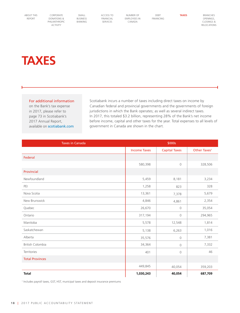<span id="page-17-0"></span>[CORPORATE](#page-2-0)  [DONATIONS &](#page-2-0)  [PHILANTHROPIC](#page-2-0)  [ACTIVITY](#page-2-0)

[SMALL](#page-6-0)  [BUSINESS](#page-6-0)  [BANKING](#page-6-0) [ACCESS TO](#page-8-0)  [FINANCIAL](#page-8-0)  [SERVICES](#page-8-0)

[NUMBER OF](#page-13-0)  [EMPLOYEES IN](#page-13-0)  [CANADA](#page-13-0)

[DEBT](#page-14-0)  [FINANCING](#page-14-0) **TAXES** [BRANCHES](#page-18-0)  [OPENINGS,](#page-18-0)  [CLOSINGS &](#page-18-0)  [RELOCATIONS](#page-18-0)

## **TAXES**

### For additional information

on the Bank's tax expense in 2017, please refer to page 73 in Scotiabank's 2017 Annual Report, available on [scotiabank.com](https://scotiabank.com) Scotiabank incurs a number of taxes including direct taxes on income by Canadian federal and provincial governments and the governments of foreign jurisdictions in which the Bank operates; as well as several indirect taxes. In 2017, this totaled \$3.2 billion, representing 28% of the Bank's net income before income, capital and other taxes for the year. Total expenses to all levels of government in Canada are shown in the chart.

| <b>Taxes in Canada</b> | \$000s              |                      |                          |  |
|------------------------|---------------------|----------------------|--------------------------|--|
|                        | <b>Income Taxes</b> | <b>Capital Taxes</b> | Other Taxes <sup>1</sup> |  |
| Federal                |                     |                      |                          |  |
|                        | 580,398             | $\circ$              | 328,506                  |  |
| Provincial             |                     |                      |                          |  |
| Newfoundland           | 5,459               | 8,181                | 3,234                    |  |
| PEI                    | 1,258               | 823                  | 328                      |  |
| Nova Scotia            | 13,361              | 7,378                | 5,679                    |  |
| New Brunswick          | 4,846               | 4,861                | 2,354                    |  |
| Quebec                 | 26,670              | $\circ$              | 35,054                   |  |
| Ontario                | 317,194             | $\mathbb O$          | 294,965                  |  |
| Manitoba               | 5,578               | 12,548               | 1,814                    |  |
| Saskatchewan           | 5,138               | 6,263                | 1,016                    |  |
| Alberta                | 35,576              | $\circ$              | 7,381                    |  |
| British Colombia       | 34,364              | $\circ$              | 7,332                    |  |
| Territories            | 401                 | $\circ$              | 46                       |  |
| <b>Total Provinces</b> |                     |                      |                          |  |
|                        | 449,845             | 40,054               | 359,203                  |  |
| <b>Total</b>           | 1,030,243           | 40,054               | 687,709                  |  |

<sup>1</sup> Includes payroll taxes, GST, HST, municipal taxes and deposit insurance premiums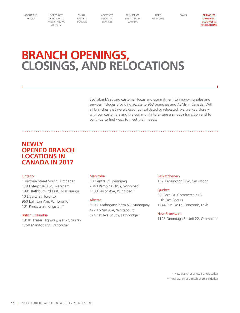<span id="page-18-0"></span>[CORPORATE](#page-2-0)  [DONATIONS &](#page-2-0)  [PHILANTHROPIC](#page-2-0)  [ACTIVITY](#page-2-0)

[SMALL](#page-6-0) [BUSINESS](#page-6-0)  [BANKING](#page-6-0) [ACCESS TO](#page-8-0)  [FINANCIAL](#page-8-0)  [SERVICES](#page-8-0)

[NUMBER OF](#page-13-0)  [EMPLOYEES IN](#page-13-0)  [CANADA](#page-13-0)

[DEBT](#page-14-0)  [FINANCING](#page-14-0) [TAXES](#page-17-0) **BRANCHES OPENINGS, CLOSINGS & RELOCATIONS**

## **BRANCH OPENINGS, CLOSINGS, AND RELOCATIONS**

Scotiabank's strong customer focus and commitment to improving sales and services includes providing access to 963 branches and ABMs in Canada. With all branches that were closed, consolidated or relocated, we worked closely with our customers and the community to ensure a smooth transition and to continue to find ways to meet their needs.

## **NEWLY OPENED BRANCH LOCATIONS IN CANADA IN 2017**

### Ontario

1 Victoria Street South, Kitchener 179 Enterprise Blvd, Markham 1891 Rathburn Rd East, Mississauga 10 Liberty St, Toronto 960 Eglinton Ave. W, Toronto\* 101 Princess St, Kingston\*\*

### British Columbia

19181 Fraser Highway, #102c, Surrey 1750 Manitoba St, Vancouver

### Manitoba

30 Centre St, Winnipeg 2840 Pembina HWY, Winnipeg\* 1100 Taylor Ave, Winnipeg\*\*

### Alberta

910 7 Mahogany Plaza SE, Mahogany 4223 52nd Ave, Whitecourt\* 324 1st Ave South, Lethbridge\*\*

#### Saskatchewan

137 Kensington Blvd, Saskatoon

### Quebec

38 Place Du Commerce #18, Ile Des Soeurs 1244 Rue De La Concorde, Levis

### New Brunswick

1198 Onondaga St Unit 22, Oromocto\*

\* New branch as a result of relocation \*\* New branch as a result of consolidation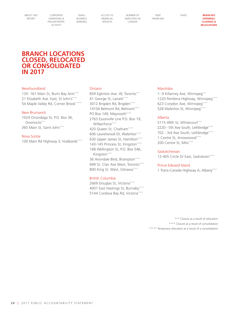[CORPORATE](#page-2-0)  [DONATIONS &](#page-2-0)  [PHILANTHROPIC](#page-2-0)  [ACTIVITY](#page-2-0)

[SMALL](#page-6-0) [BUSINESS](#page-6-0)  [BANKING](#page-6-0) [ACCESS TO](#page-8-0)  [FINANCIAL](#page-8-0)  [SERVICES](#page-8-0)

[NUMBER OF](#page-13-0)  [EMPLOYEES IN](#page-13-0)  [CANADA](#page-13-0)

[DEBT](#page-14-0)  [FINANCING](#page-14-0) [TAXES](#page-17-0) **BRANCHES OPENINGS, CLOSINGS & RELOCATIONS**

## **BRANCH LOCATIONS CLOSED, RELOCATED OR CONSOLIDATED IN 2017**

### Newfoundland

135- 161 Main St, Burin Bay Arm\*\*\*\* 21 Elizabeth Ave. East, St John's\*\*\*\* 54 Maple Valley Rd, Corner Brook\*\*\*\*\*\*

### New Brunswick

1024 Onondaga St, P.O. Box 36, Oromocto\*\*\* 365 Main St, Saint John\*\*\*\*

Nova Scotia

100 Main Rd Highway 3, Hubbards\*\*\*\*

#### Ontario

859 Eglinton Ave. W, Toronto\*\*\* 41 George St, Lanark\*\*\*\* 3012 Brigden Rd, Brigden\*\*\*\* 14104 Belmont Rd, Belmont\*\*\*\* PO Box 149, Maynooth\*\*\*\* 2763 Essonville Line P.O. Box 19, Wilberforce\*\*\*\* 420 Queen St, Chatham\*\*\*\* 606 Laurelwood Dr, Waterloo\*\*\*\* 630 Upper James St, Hamilton\*\*\*\* 143-145 Princess St, Kingston\*\*\*\* 168 Wellington St, P.O. Box 546, Kingston\*\*\*\* 36 Avondale Blvd, Brampton\*\*\*\* 949 St. Clair Ave West, Toronto\*\*\*\* 800 King St. West, Oshawa\*\*\*\*

### British Columbia

2669 Douglas St, Victoria\*\*\*\* 4001 East Hastings St, Burnaby\*\*\*\* 5144 Cordova Bay Rd, Victoria\*\*\*\*

#### Manitoba

1- 9 Killarney Ave, Winnipeg\*\*\* 1220 Pembina Highway, Winnipeg\*\*\*\* 623 Corydon Ave, Winnipeg\*\*\*\* 528 Waterloo St, Winnipeg\*\*\*\*

### Alberta

5115 49th St, Whitecourt\*\*\* 2220 - 5th Ave South, Lethbridge\*\*\*\* 702 - 3rd Ave South, Lethbridge\*\*\*\* 1 Centre St, Arrowwood\*\*\*\* 200 Centre St, Milo\*\*\*\*

#### Saskatchewan

12-405 Circle Dr East, Saskatoon\*\*\*\*

### Prince Edward Island

1 Trans-Canada Highway A, Albany\*\*\*\*

\*\*\* Closure as a result of relocation \*\*\*\* Closure as a result of consolidation \*\*\*\*\* Temporary relocation as a result of a consolidation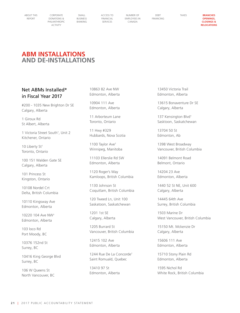[CORPORATE](#page-2-0)  [DONATIONS &](#page-2-0)  [PHILANTHROPIC](#page-2-0)  [ACTIVITY](#page-2-0)

[SMALL](#page-6-0) [BUSINESS](#page-6-0)  [BANKING](#page-6-0) [ACCESS TO](#page-8-0)  [FINANCIAL](#page-8-0)  [SERVICES](#page-8-0)

[NUMBER OF](#page-13-0)  [EMPLOYEES IN](#page-13-0)  [CANADA](#page-13-0)

[DEBT](#page-14-0)  [FINANCING](#page-14-0) [TAXES](#page-17-0) **BRANCHES OPENINGS, CLOSINGS & RELOCATIONS**

## **ABM INSTALLATIONS AND DE-INSTALLATIONS**

### Net ABMs Installed\* in Fiscal Year 2017

#200 - 1035 New Brighton Dr SE Calgary, Alberta

1 Giroux Rd St Albert, Alberta

1 Victoria Street South† , Unit 2 Kitchener, Ontario

10 Liberty St† Toronto, Ontario

100 151 Walden Gate SE Calgary, Alberta

101 Princess St Kingston, Ontario

10108 Nordel Crt Delta, British Columbia

10110 Kingsway Ave Edmonton, Alberta

10220 104 Ave NW† Edmonton, Alberta

103 loco Rd Port Moody, BC

10376 152nd St Surrey, BC

10416 King George Blvd Surrey, BC

106 W Queens St North Vancouver, BC 10863 82 Ave NW Edmonton, Alberta

10904 111 Ave Edmonton, Alberta

11 Arborteum Lane Toronto, Ontario

11 Hwy #329 Hubbards, Nova Scotia

1100 Taylor Ave† Winnipeg, Manitoba

11103 Ellerslie Rd SW Edmonton, Alberta

1120 Roger's Way Kamloops, British Columbia

1130 Johnson St Coquitlam, British Columbia

120 Tweed Ln, Unit 100 Saskatoon, Saskatchewan

1201 1st SE Calgary, Alberta

1205 Burrard St Vancouver, British Columbia

12415 102 Ave Edmonton, Alberta

1244 Rue De La Concorde† Saint Romuald, Quebec

13410 97 St Edmonton, Alberta 13450 Victoria Trail Edmonton, Alberta

13615 Bonaventure Dr SE Calgary, Alberta

137 Kensington Blvd† Sasktoon, Saskatchewan

13704 50 St Edmonton, Ab

1398 West Broadway Vancouver, British Columbia

14091 Belmont Road Belmont, Ontario

14204 23 Ave Edmonton, Alberta

1440 52 St NE, Unit 600 Calgary, Alberta

14445 64th Ave Surrey, British Columbia

1503 Marine Dr West Vancouver, British Columbia

15150 Mt. Mckenzie Dr Calgary, Alberta

15606 111 Ave Edmonton, Alberta

15710 Stony Plain Rd Edmonton, Alberta

1595 Nichol Rd White Rock, British Columbia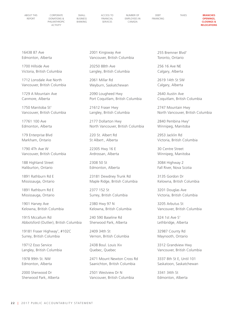[CORPORATE](#page-2-0)  [DONATIONS &](#page-2-0)  [PHILANTHROPIC](#page-2-0)  [ACTIVITY](#page-2-0)

[SMALL](#page-6-0) [BUSINESS](#page-6-0)  [BANKING](#page-6-0) [ACCESS TO](#page-8-0)  [FINANCIAL](#page-8-0)  [SERVICES](#page-8-0)

[NUMBER OF](#page-13-0)  [EMPLOYEES IN](#page-13-0)  [CANADA](#page-13-0)

[DEBT](#page-14-0)  [FINANCING](#page-14-0)

[TAXES](#page-17-0) **BRANCHES OPENINGS, CLOSINGS & RELOCATIONS**

16438 87 Ave Edmonton, Alberta

1700 Hillside Ave Victoria, British Columbia

1712 Lonsdale Ave North Vancouver, British Columbia

1729 A Mountain Ave Canmore, Alberta

1750 Manitoba St† Vancouver, British Columbia

17761 100 Ave Edmonton, Alberta

179 Enterprise Blvd Markham, Ontario

1790 4Th Ave W Vancouver, British Columbia

188 Highland Street Haliburton, Ontario

1891 Rathburn Rd E Mississauga, Ontario

1891 Rathburn Rd E Mississauga, Ontario

1901 Harvey Ave Kelowna, British Columbia

1915 Mccallum Rd Abbotsford (Outlier), British Columbia

19181 Fraser Highway† , #102C Surrey, British Columbia

19712 Esso Service Langley, British Columbia

1978 99th St. NW Edmonton, Alberta

2000 Sherwood Dr Sherwood Park, Alberta 2001 Kingsway Ave Vancouver, British Columbia

20250 88th Ave Langley, British Columbia

2061 Millar Rd Weyburn, Saskatchewan

2090 Lougheed Hwy Port Coquitlam, British Columbia

21612 Fraser Hwy Langley, British Columbia

2177 Dollarton Hwy North Vancouver, British Columbia

220 St. Albert Rd St Albert , Alberta

22305 Hwy 16 E Ardrossan, Alberta

2308 50 St Edmonton, Alberta

23181 Dewdney Trunk Rd Maple Ridge, British Columbia

2377 152 St Surrey, British Columbia

2380 Hwy 97 N Kelowna, British Columbia

240 590 Baseline Rd Sherwood Park, Alberta

2409 34th St Vernon, British Columbia

2438 Boul. Louis Xiv Quebec, Quebec

2471 Mount Newton Cross Rd Saanichton, British Columbia

2501 Westview Dr N Vancouver, British Columbia 255 Bremner Blvd† Toronto, Ontario

256 16 Ave NE Calgary, Alberta

2619 14th St SW Calgary, Alberta

2640 Austin Ave Coquitlam, British Columbia

2747 Mountain Hwy North Vancouver, British Columbia

2840 Pembina Hwy† Winnipeg, Manitoba

2953 Jacklin Rd Victoria, British Columbia

30 Centre Street Winnipeg, Manitoba

3084 Highway 2 Fall River, Nova Scotia

3135 Gordon Dr Kelowna, British Columbia

3201 Douglas Ave Victoria, British Columbia

3205 Arbutus St Vancouver, British Columbia

324 1st Ave S† Lethbridge, Alberta

32987 County Rd Maynooth, Ontario

3312 Grandview Hwy Vancouver, British Columbia

3337 8th St E, Until 101 Saskatoon, Saskatchewan

3341 34th St Edmonton, Alberta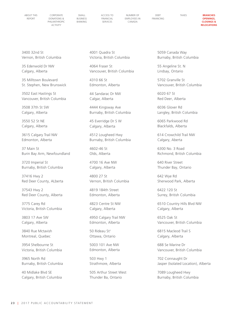[CORPORATE](#page-2-0)  [DONATIONS &](#page-2-0)  [PHILANTHROPIC](#page-2-0)  [ACTIVITY](#page-2-0)

[SMALL](#page-6-0) [BUSINESS](#page-6-0)  [BANKING](#page-6-0)

[NUMBER OF](#page-13-0)  [EMPLOYEES IN](#page-13-0)  [CANADA](#page-13-0)

[DEBT](#page-14-0)  [FINANCING](#page-14-0)

[TAXES](#page-17-0) **BRANCHES OPENINGS, CLOSINGS & RELOCATIONS**

3400 32nd St Vernon, British Columbia

35 Edenwold Dr NW Calgary, Alberta

35 Milltown Boulevard St. Stephen, New Brunswick

3502 East Hastings St Vancouver, British Columbia

3508 37th St SW Calgary, Alberta

3550 52 St NE Calgary, Alberta

3615 Calgary Trail NW Edmonton, Alberta

37 Main St Burin Bay Arm, Newfoundland

3720 Imperial St Burnaby, British Columbia

37416 Hwy 2 Red Deer County, ALberta

37543 Hwy 2 Red Deer County, Alberta

3775 Carey Rd Victoria, British Columbia

3803 17 Ave SW Calgary, Alberta

3840 Rue Mctavish Montreal, Quebec

3954 Shelbourne St Victoria, British Columbia

3965 North Rd Burnaby, British Columbia

40 Midlake Blvd SE Calgary, British Columbia 4001 Quadra St Victoria, British Columbia

4064 Fraser St Vancouver, British Columbia

4310 66 St Edmonton, Alberta

44 Sandarac Dr NW Calgar, Alberta

4444 Kingsway Ave Burnaby, British Columbia

45 Everridge Dr S W Calgary, Alberta

4512 Lougheed Hwy Burnaby, British Columbia

4602-46 St Olds, Alberta

4700 16 Ave NW Calgary, Alberta

4800 27 St Vernon, British Columbia

4819 184th Street Edmonton, Alberta

4823 Centre St NW Calgary, Alberta

4950 Calgary Trail NW Edmonton, Alberta

50 Rideau St† Ottawa, Ontario

5003 101 Ave NW Edmonton, Alberta

503 Hwy 1 Strathmore, Alberta

505 Arthur Street West Thunder Ba, Ontario

5059 Canada Way Burnaby, British Columbia

55 Angeline St. N Lindsay, Ontario

5702 Granville St Vancouver, British Columbia

6020 67 St Red Deer, Alberta

6036 Glover Rd Langley, British Columbia

6065 Parkwood Rd Blackfalds, Alberta

614 Crowchild Trail NW Calgary, Aberta

6300 No. 3 Road Richmond, British Columbia

640 River Street Thunder Bay, Ontario

642 Wye Rd Sherwood Park, Alberta

6422 120 St Surrey, British Columbia

6510 Country Hills Blvd NW Calgary, Alberta

6525 Oak St Vancouver, British Columbia

6815 Macleod Trail S Calgary, Alberta

688 Se Marine Dr Vancouver, British Columbia

702 Connaught Dr Jasper (Isolated Location), Alberta

7089 Lougheed Hwy Burnaby, British Columbia

[ACCESS TO](#page-8-0)  [FINANCIAL](#page-8-0)  [SERVICES](#page-8-0)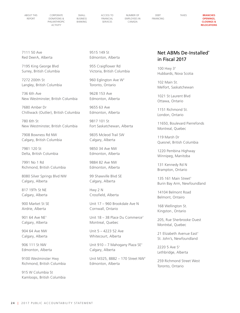[CORPORATE](#page-2-0)  [DONATIONS &](#page-2-0)  [PHILANTHROPIC](#page-2-0)  [ACTIVITY](#page-2-0)

[SMALL](#page-6-0) [BUSINESS](#page-6-0)  [BANKING](#page-6-0) [ACCESS TO](#page-8-0)  [FINANCIAL](#page-8-0)  [SERVICES](#page-8-0)

[NUMBER OF](#page-13-0)  [EMPLOYEES IN](#page-13-0)  [CANADA](#page-13-0)

[DEBT](#page-14-0)  [FINANCING](#page-14-0)

[TAXES](#page-17-0) **BRANCHES OPENINGS, CLOSINGS & RELOCATIONS**

7111 50 Ave Red DeerA, Alberta

7195 King George Blvd Surrey, British Columbia

7272 200th St Langley, British Columbia

736 6th Ave New Westminster, British Columbia

7680 Amber Dr Chilliwack (Outlier), British Columbia

780 6th St New Westminster, British Columbia

7908 Bowness Rd NW Calgary, British Columbia

7981 120 St Delta, British Columbia

7991 No 1 Rd Richmond, British Columbia

8080 Silver Springs Blvd NW Calgary, Alberta

817 19Th St NE Calgary, Alberta

900 Market St SE Airdrie, Alberta

901 64 Ave NE† Calgary, Alberta

904 64 Ave NW Calgary, Alberta

906 111 St NW Edmonton, Alberta

9100 Westminster Hwy Richmond, British Columbia

915 W Columbia St Kamloops, British Columbia 9515 149 St Edmonton, Alberta

955 Craigflower Rd Victoria, British Columbia

960 Eglington Ave W† Toronto, Ontario

9628 153 Ave Edmonton, Alberta

9655 63 Ave Edmonton, Alberta

9817 101 St Fort Saskatchewan, Alberta

9835 Mcleod Trail SW Calgary, Alberta

9850 34 Ave NW Edmonton, Alberta

9884 82 Ave NW Edmonton, Alberta

99 Shawville Blvd SE Calgary, Alberta

Hwy 2 N Crossfield, Alberta

Unit 17 – 960 Brookdale Ave N Cornwall, Ontario

Unit 18 – 38 Place Du Commerce† Montreal, Quebec

Unit 5 – 4223 52 Ave Whitecourt, Alberta

Unit 910 – 7 Mahogany Plaza SE† Calgary, Alberta

Unit M325, 8882 – 170 Street NW† Edmonton, Alberta

### Net ABMs De-Installed\* in Fiscal 2017

100 Hwy 3† Hubbards, Nova Scotia

102 Main St. Melfort, Saskatchewan

1021 St Laurent Blvd Ottawa, Ontario

1151 Richmond St. London, Ontario

11650, Boulevard Pierrefonds Montreal, Quebec

119 Marsh Dr Quesnel, British Columbia

1220 Pembina Highway Winnipeg, Manitoba

131 Kennedy Rd N Brampton, Ontario

135 161 Main Street† Burin Bay Arm, Newfoundland

14104 Belmont Road Belmont, Ontairo

168 Wellington St. Kingston , Ontario

205, Rue Sherbrooke Ouest Montréal, Quebec

21 Elizabeth Avenue East† St. John's, Newfoundland

2220 5 Ave S† Lethbridge, Alberta

259 Richmond Street West Toronto, Ontario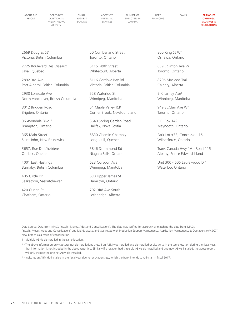[CORPORATE](#page-2-0)  [DONATIONS &](#page-2-0)  [PHILANTHROPIC](#page-2-0)  [ACTIVITY](#page-2-0)

[SMALL](#page-6-0) [BUSINESS](#page-6-0)  [BANKING](#page-6-0) [ACCESS TO](#page-8-0)  [FINANCIAL](#page-8-0)  [SERVICES](#page-8-0)

[NUMBER OF](#page-13-0)  [EMPLOYEES IN](#page-13-0)  [CANADA](#page-13-0)

[DEBT](#page-14-0)  [FINANCING](#page-14-0)

[TAXES](#page-17-0) **BRANCHES OPENINGS, CLOSINGS & RELOCATIONS**

2669 Douglas St† Victoria, British Columbia

2725 Boulevard Des Oiseaux Laval, Quebec

2892 3rd Ave Port Alberni, British Columbia

2930 Lonsdale Ave North Vancouver, British Columbia

3012 Brigden Road Brigden, Ontario

36 Avondale Blvd. † Brampton, Ontario

365 Main Street† Saint John, New Brunswick

3657, Rue De L'hetriere Quebec, Quebec

4001 East Hastings Burnaby, British Columbia

405 Circle Dr E† Saskatoon, Saskatchewan

420 Queen St† Chatham, Ontario 50 Cumberland Street Toronto, Ontario

5115 49th Street Whitecourt, Alberta

5116 Cordova Bay Rd Victoria, British Columbia

528 Waterloo St Winnipeg, Manitoba

54 Maple Valley Rd† Corner Brook, Newfoundland

5640 Spring Garden Road Halifax, Nova Scotia

5830 Chemin Chambly Longueuil, Quebec

5846 Drummond Rd Niagara Falls, Ontario

623 Corydon Ave Winnipeg, Manitoba

630 Upper James St Hamilton, Ontario

702-3Rd Ave South† Lethbridge, Alberta

800 King St W† Oshawa, Ontario

859 Eglinton Ave W Toronto, Ontario

8706 Macleod Trail† Calgary, Alberta

9 Killarney Ave† Winnipeg, Manitoba

949 St.Clair Ave W† Toronto, Ontario

P.O. Box 149 Maynooth, Ontario

Park Lot #33, Concession 16 Wilberforce, Ontario

Trans Canada Hwy 1A - Road 115 Albany, Prince Edward Island

Unit 300 - 606 Laurelwood Dr† Waterloo, Ontario

Data Source: Data from IMACs (Installs, Moves, Adds and Consolidations). The data was verified for accuracy by matching the data from IMACs (Installs, Moves, Adds and Consolidations) and MIS database, and was vetted with Production Support Maintenance, Application Maintenance & Operations (AM&O)\*\* New branch as a result of consolidation.

† Multiple ABMs de-installed in the same location.

\*\* The above information only captures net de-installations thus, if an ABM was installed and de-installed or visa versa in the same location during the fiscal year, that information is not included in the above reporting. Similarly if a location had three old ABMs de -installed and two new ABMs installed, the above report will only include the one net ABM de-installed.

\*\* Indicates an ABM de-installed in the fiscal year due to renovations etc, which the Bank intends to re-install in fiscal 2017.